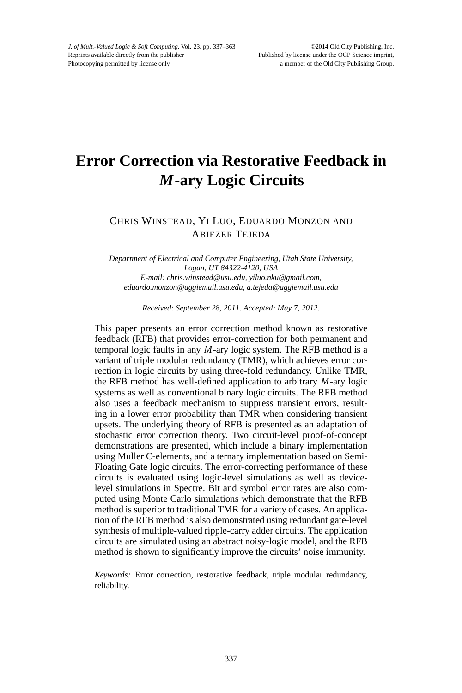# **Error Correction via Restorative Feedback in** *M***-ary Logic Circuits**

# CHRIS WINSTEAD, YI LUO, EDUARDO MONZON AND ABIEZER TEJEDA

*Department of Electrical and Computer Engineering, Utah State University, Logan, UT 84322-4120, USA E-mail: chris.winstead@usu.edu, yiluo.nku@gmail.com, eduardo.monzon@aggiemail.usu.edu, a.tejeda@aggiemail.usu.edu*

*Received: September 28, 2011. Accepted: May 7, 2012.*

This paper presents an error correction method known as restorative feedback (RFB) that provides error-correction for both permanent and temporal logic faults in any *M*-ary logic system. The RFB method is a variant of triple modular redundancy (TMR), which achieves error correction in logic circuits by using three-fold redundancy. Unlike TMR, the RFB method has well-defined application to arbitrary *M*-ary logic systems as well as conventional binary logic circuits. The RFB method also uses a feedback mechanism to suppress transient errors, resulting in a lower error probability than TMR when considering transient upsets. The underlying theory of RFB is presented as an adaptation of stochastic error correction theory. Two circuit-level proof-of-concept demonstrations are presented, which include a binary implementation using Muller C-elements, and a ternary implementation based on Semi-Floating Gate logic circuits. The error-correcting performance of these circuits is evaluated using logic-level simulations as well as devicelevel simulations in Spectre. Bit and symbol error rates are also computed using Monte Carlo simulations which demonstrate that the RFB method is superior to traditional TMR for a variety of cases. An application of the RFB method is also demonstrated using redundant gate-level synthesis of multiple-valued ripple-carry adder circuits. The application circuits are simulated using an abstract noisy-logic model, and the RFB method is shown to significantly improve the circuits' noise immunity.

*Keywords:* Error correction, restorative feedback, triple modular redundancy, reliability.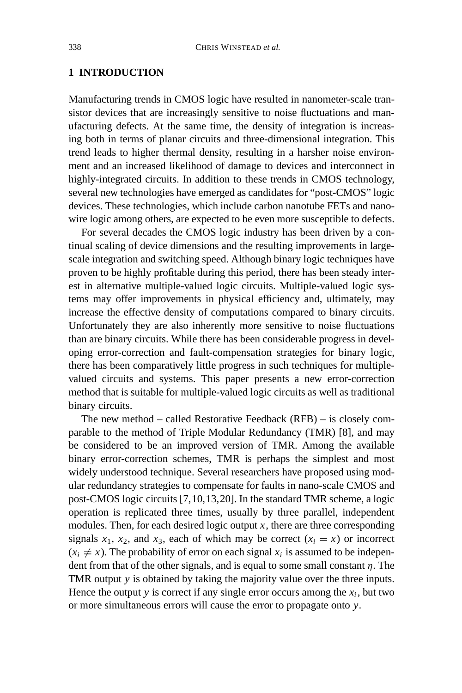# **1 INTRODUCTION**

Manufacturing trends in CMOS logic have resulted in nanometer-scale transistor devices that are increasingly sensitive to noise fluctuations and manufacturing defects. At the same time, the density of integration is increasing both in terms of planar circuits and three-dimensional integration. This trend leads to higher thermal density, resulting in a harsher noise environment and an increased likelihood of damage to devices and interconnect in highly-integrated circuits. In addition to these trends in CMOS technology, several new technologies have emerged as candidates for "post-CMOS" logic devices. These technologies, which include carbon nanotube FETs and nanowire logic among others, are expected to be even more susceptible to defects.

For several decades the CMOS logic industry has been driven by a continual scaling of device dimensions and the resulting improvements in largescale integration and switching speed. Although binary logic techniques have proven to be highly profitable during this period, there has been steady interest in alternative multiple-valued logic circuits. Multiple-valued logic systems may offer improvements in physical efficiency and, ultimately, may increase the effective density of computations compared to binary circuits. Unfortunately they are also inherently more sensitive to noise fluctuations than are binary circuits. While there has been considerable progress in developing error-correction and fault-compensation strategies for binary logic, there has been comparatively little progress in such techniques for multiplevalued circuits and systems. This paper presents a new error-correction method that is suitable for multiple-valued logic circuits as well as traditional binary circuits.

The new method – called Restorative Feedback (RFB) – is closely comparable to the method of Triple Modular Redundancy (TMR) [8], and may be considered to be an improved version of TMR. Among the available binary error-correction schemes, TMR is perhaps the simplest and most widely understood technique. Several researchers have proposed using modular redundancy strategies to compensate for faults in nano-scale CMOS and post-CMOS logic circuits [7,10,13,20]. In the standard TMR scheme, a logic operation is replicated three times, usually by three parallel, independent modules. Then, for each desired logic output  $x$ , there are three corresponding signals  $x_1$ ,  $x_2$ , and  $x_3$ , each of which may be correct  $(x_i = x)$  or incorrect  $(x_i \neq x)$ . The probability of error on each signal  $x_i$  is assumed to be independent from that of the other signals, and is equal to some small constant  $\eta$ . The TMR output *y* is obtained by taking the majority value over the three inputs. Hence the output *y* is correct if any single error occurs among the  $x_i$ , but two or more simultaneous errors will cause the error to propagate onto *y*.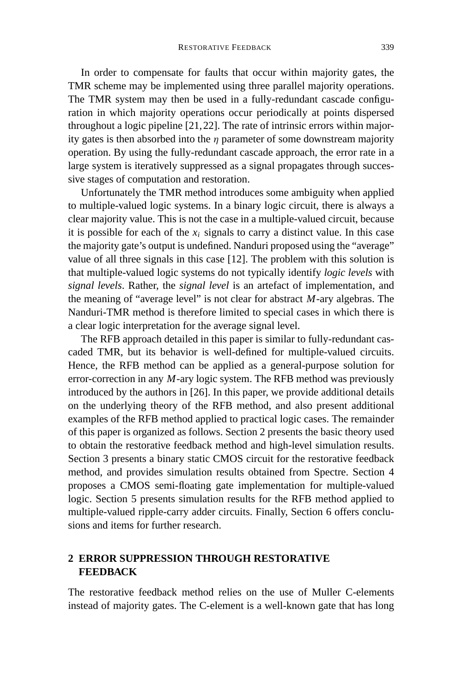In order to compensate for faults that occur within majority gates, the TMR scheme may be implemented using three parallel majority operations. The TMR system may then be used in a fully-redundant cascade configuration in which majority operations occur periodically at points dispersed throughout a logic pipeline [21,22]. The rate of intrinsic errors within majority gates is then absorbed into the  $\eta$  parameter of some downstream majority operation. By using the fully-redundant cascade approach, the error rate in a large system is iteratively suppressed as a signal propagates through successive stages of computation and restoration.

Unfortunately the TMR method introduces some ambiguity when applied to multiple-valued logic systems. In a binary logic circuit, there is always a clear majority value. This is not the case in a multiple-valued circuit, because it is possible for each of the  $x_i$  signals to carry a distinct value. In this case the majority gate's output is undefined. Nanduri proposed using the "average" value of all three signals in this case [12]. The problem with this solution is that multiple-valued logic systems do not typically identify *logic levels* with *signal levels*. Rather, the *signal level* is an artefact of implementation, and the meaning of "average level" is not clear for abstract *M*-ary algebras. The Nanduri-TMR method is therefore limited to special cases in which there is a clear logic interpretation for the average signal level.

The RFB approach detailed in this paper is similar to fully-redundant cascaded TMR, but its behavior is well-defined for multiple-valued circuits. Hence, the RFB method can be applied as a general-purpose solution for error-correction in any *M*-ary logic system. The RFB method was previously introduced by the authors in [26]. In this paper, we provide additional details on the underlying theory of the RFB method, and also present additional examples of the RFB method applied to practical logic cases. The remainder of this paper is organized as follows. Section 2 presents the basic theory used to obtain the restorative feedback method and high-level simulation results. Section 3 presents a binary static CMOS circuit for the restorative feedback method, and provides simulation results obtained from Spectre. Section 4 proposes a CMOS semi-floating gate implementation for multiple-valued logic. Section 5 presents simulation results for the RFB method applied to multiple-valued ripple-carry adder circuits. Finally, Section 6 offers conclusions and items for further research.

# **2 ERROR SUPPRESSION THROUGH RESTORATIVE FEEDBACK**

The restorative feedback method relies on the use of Muller C-elements instead of majority gates. The C-element is a well-known gate that has long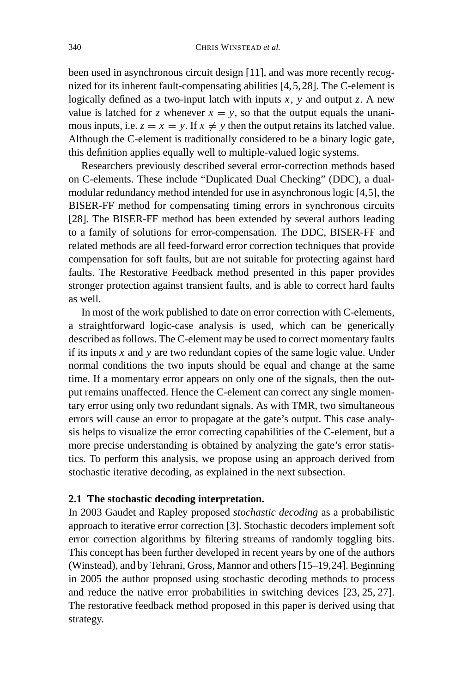been used in asynchronous circuit design [11], and was more recently recognized for its inherent fault-compensating abilities [4,5,28]. The C-element is logically defined as a two-input latch with inputs  $x$ ,  $y$  and output  $z$ . A new value is latched for *z* whenever  $x = y$ , so that the output equals the unanimous inputs, i.e.  $z = x = y$ . If  $x \neq y$  then the output retains its latched value. Although the C-element is traditionally considered to be a binary logic gate, this definition applies equally well to multiple-valued logic systems.

Researchers previously described several error-correction methods based on C-elements. These include "Duplicated Dual Checking" (DDC), a dualmodular redundancy method intended for use in asynchronous logic [4,5], the BISER-FF method for compensating timing errors in synchronous circuits [28]. The BISER-FF method has been extended by several authors leading to a family of solutions for error-compensation. The DDC, BISER-FF and related methods are all feed-forward error correction techniques that provide compensation for soft faults, but are not suitable for protecting against hard faults. The Restorative Feedback method presented in this paper provides stronger protection against transient faults, and is able to correct hard faults as well.

In most of the work published to date on error correction with C-elements, a straightforward logic-case analysis is used, which can be generically described as follows. The C-element may be used to correct momentary faults if its inputs *x* and *y* are two redundant copies of the same logic value. Under normal conditions the two inputs should be equal and change at the same time. If a momentary error appears on only one of the signals, then the output remains unaffected. Hence the C-element can correct any single momentary error using only two redundant signals. As with TMR, two simultaneous errors will cause an error to propagate at the gate's output. This case analysis helps to visualize the error correcting capabilities of the C-element, but a more precise understanding is obtained by analyzing the gate's error statistics. To perform this analysis, we propose using an approach derived from stochastic iterative decoding, as explained in the next subsection.

## **2.1 The stochastic decoding interpretation.**

In 2003 Gaudet and Rapley proposed *stochastic decoding* as a probabilistic approach to iterative error correction [3]. Stochastic decoders implement soft error correction algorithms by filtering streams of randomly toggling bits. This concept has been further developed in recent years by one of the authors (Winstead), and by Tehrani, Gross, Mannor and others [15–19,24]. Beginning in 2005 the author proposed using stochastic decoding methods to process and reduce the native error probabilities in switching devices [23, 25, 27]. The restorative feedback method proposed in this paper is derived using that strategy.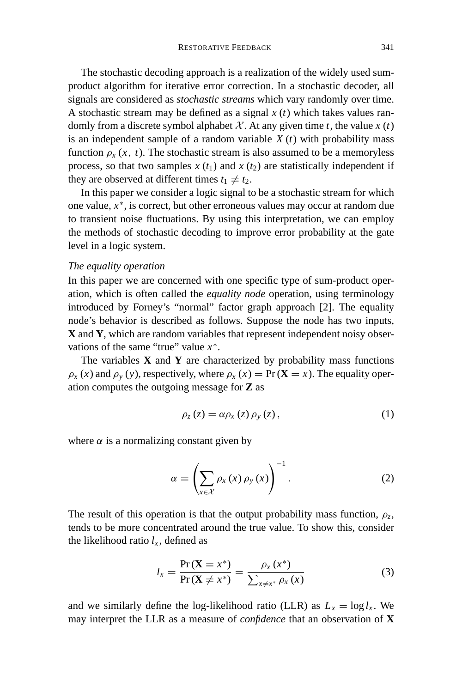The stochastic decoding approach is a realization of the widely used sumproduct algorithm for iterative error correction. In a stochastic decoder, all signals are considered as *stochastic streams* which vary randomly over time. A stochastic stream may be defined as a signal *x* (*t*) which takes values randomly from a discrete symbol alphabet  $X$ . At any given time  $t$ , the value  $x(t)$ is an independent sample of a random variable  $X(t)$  with probability mass function  $\rho_x(x, t)$ . The stochastic stream is also assumed to be a memoryless process, so that two samples  $x(t_1)$  and  $x(t_2)$  are statistically independent if they are observed at different times  $t_1 \neq t_2$ .

In this paper we consider a logic signal to be a stochastic stream for which one value, *x*<sup>∗</sup>, is correct, but other erroneous values may occur at random due to transient noise fluctuations. By using this interpretation, we can employ the methods of stochastic decoding to improve error probability at the gate level in a logic system.

## *The equality operation*

In this paper we are concerned with one specific type of sum-product operation, which is often called the *equality node* operation, using terminology introduced by Forney's "normal" factor graph approach [2]. The equality node's behavior is described as follows. Suppose the node has two inputs, **X** and **Y**, which are random variables that represent independent noisy observations of the same "true" value *x*<sup>∗</sup>.

The variables  $X$  and  $Y$  are characterized by probability mass functions  $\rho_x(x)$  and  $\rho_y(y)$ , respectively, where  $\rho_x(x) = \Pr(\mathbf{X} = x)$ . The equality operation computes the outgoing message for **Z** as

$$
\rho_z(z) = \alpha \rho_x(z) \rho_y(z), \qquad (1)
$$

where  $\alpha$  is a normalizing constant given by

$$
\alpha = \left(\sum_{x \in \mathcal{X}} \rho_x(x) \rho_y(x)\right)^{-1}.\tag{2}
$$

The result of this operation is that the output probability mass function,  $\rho_z$ , tends to be more concentrated around the true value. To show this, consider the likelihood ratio  $l_x$ , defined as

$$
l_x = \frac{\Pr\left(\mathbf{X} = x^*\right)}{\Pr\left(\mathbf{X} \neq x^*\right)} = \frac{\rho_x\left(x^*\right)}{\sum_{x \neq x^*} \rho_x\left(x\right)}\tag{3}
$$

and we similarly define the log-likelihood ratio (LLR) as  $L_x = \log l_x$ . We may interpret the LLR as a measure of *confidence* that an observation of **X**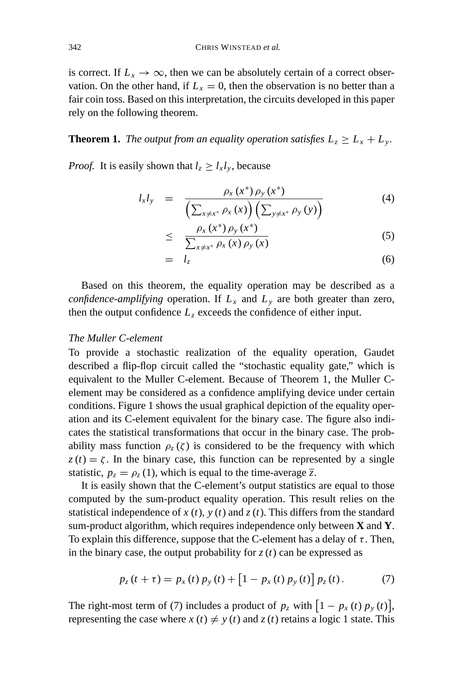is correct. If  $L_x \to \infty$ , then we can be absolutely certain of a correct observation. On the other hand, if  $L<sub>x</sub> = 0$ , then the observation is no better than a fair coin toss. Based on this interpretation, the circuits developed in this paper rely on the following theorem.

## **Theorem 1.** *The output from an equality operation satisfies*  $L_z \geq L_x + L_y$ .

*Proof.* It is easily shown that  $l_z \geq l_x l_y$ , because

$$
l_x l_y = \frac{\rho_x(x^*) \rho_y(x^*)}{\left(\sum_{x \neq x^*} \rho_x(x)\right) \left(\sum_{y \neq x^*} \rho_y(y)\right)}
$$
(4)

$$
\leq \quad \frac{\rho_x(x^*)\,\rho_y(x^*)}{\sum_{x\neq x^*}\rho_x(x)\,\rho_y(x)}\tag{5}
$$

$$
= l_z \tag{6}
$$

Based on this theorem, the equality operation may be described as a *confidence-amplifying* operation. If  $L_x$  and  $L_y$  are both greater than zero, then the output confidence  $L<sub>z</sub>$  exceeds the confidence of either input.

#### *The Muller C-element*

To provide a stochastic realization of the equality operation, Gaudet described a flip-flop circuit called the "stochastic equality gate," which is equivalent to the Muller C-element. Because of Theorem 1, the Muller Celement may be considered as a confidence amplifying device under certain conditions. Figure 1 shows the usual graphical depiction of the equality operation and its C-element equivalent for the binary case. The figure also indicates the statistical transformations that occur in the binary case. The probability mass function  $\rho_z(\zeta)$  is considered to be the frequency with which  $z(t) = \zeta$ . In the binary case, this function can be represented by a single statistic,  $p_z = \rho_z(1)$ , which is equal to the time-average  $\overline{z}$ .

It is easily shown that the C-element's output statistics are equal to those computed by the sum-product equality operation. This result relies on the statistical independence of  $x(t)$ ,  $y(t)$  and  $z(t)$ . This differs from the standard sum-product algorithm, which requires independence only between **X** and **Y**. To explain this difference, suppose that the C-element has a delay of  $\tau$ . Then, in the binary case, the output probability for  $z(t)$  can be expressed as

$$
p_z(t+\tau) = p_x(t) p_y(t) + [1 - p_x(t) p_y(t)] p_z(t).
$$
 (7)

The right-most term of (7) includes a product of  $p_z$  with  $\left[1 - p_x(t) p_y(t)\right]$ , representing the case where  $x(t) \neq y(t)$  and  $z(t)$  retains a logic 1 state. This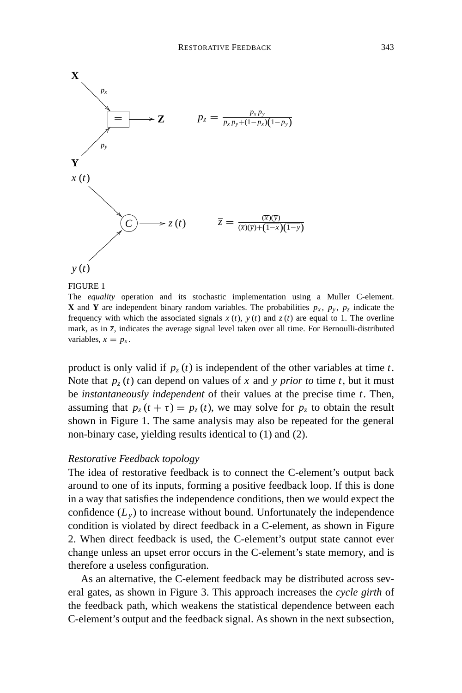

The *equality* operation and its stochastic implementation using a Muller C-element. **X** and **Y** are independent binary random variables. The probabilities  $p_x$ ,  $p_y$ ,  $p_z$  indicate the frequency with which the associated signals  $x(t)$ ,  $y(t)$  and  $z(t)$  are equal to 1. The overline mark, as in  $\bar{z}$ , indicates the average signal level taken over all time. For Bernoulli-distributed variables,  $\overline{x} = p_x$ .

product is only valid if  $p_z(t)$  is independent of the other variables at time *t*. Note that  $p_z(t)$  can depend on values of x and y prior to time t, but it must be *instantaneously independent* of their values at the precise time *t*. Then, assuming that  $p_z(t + \tau) = p_z(t)$ , we may solve for  $p_z$  to obtain the result shown in Figure 1. The same analysis may also be repeated for the general non-binary case, yielding results identical to (1) and (2).

## *Restorative Feedback topology*

The idea of restorative feedback is to connect the C-element's output back around to one of its inputs, forming a positive feedback loop. If this is done in a way that satisfies the independence conditions, then we would expect the confidence  $(L_v)$  to increase without bound. Unfortunately the independence condition is violated by direct feedback in a C-element, as shown in Figure 2. When direct feedback is used, the C-element's output state cannot ever change unless an upset error occurs in the C-element's state memory, and is therefore a useless configuration.

As an alternative, the C-element feedback may be distributed across several gates, as shown in Figure 3. This approach increases the *cycle girth* of the feedback path, which weakens the statistical dependence between each C-element's output and the feedback signal. As shown in the next subsection,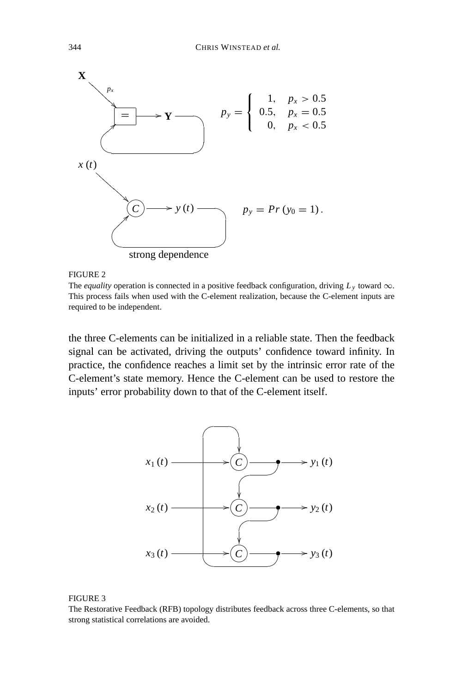

FIGURE 2

The *equality* operation is connected in a positive feedback configuration, driving  $L_y$  toward  $\infty$ . This process fails when used with the C-element realization, because the C-element inputs are required to be independent.

the three C-elements can be initialized in a reliable state. Then the feedback signal can be activated, driving the outputs' confidence toward infinity. In practice, the confidence reaches a limit set by the intrinsic error rate of the C-element's state memory. Hence the C-element can be used to restore the inputs' error probability down to that of the C-element itself.



#### FIGURE 3

The Restorative Feedback (RFB) topology distributes feedback across three C-elements, so that strong statistical correlations are avoided.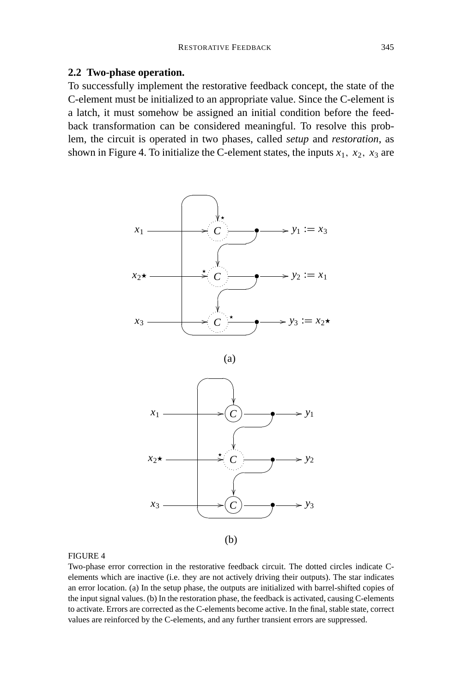#### **2.2 Two-phase operation.**

To successfully implement the restorative feedback concept, the state of the C-element must be initialized to an appropriate value. Since the C-element is a latch, it must somehow be assigned an initial condition before the feedback transformation can be considered meaningful. To resolve this problem, the circuit is operated in two phases, called *setup* and *restoration*, as shown in Figure 4. To initialize the C-element states, the inputs  $x_1$ ,  $x_2$ ,  $x_3$  are



#### FIGURE 4

Two-phase error correction in the restorative feedback circuit. The dotted circles indicate Celements which are inactive (i.e. they are not actively driving their outputs). The star indicates an error location. (a) In the setup phase, the outputs are initialized with barrel-shifted copies of the input signal values. (b) In the restoration phase, the feedback is activated, causing C-elements to activate. Errors are corrected as the C-elements become active. In the final, stable state, correct values are reinforced by the C-elements, and any further transient errors are suppressed.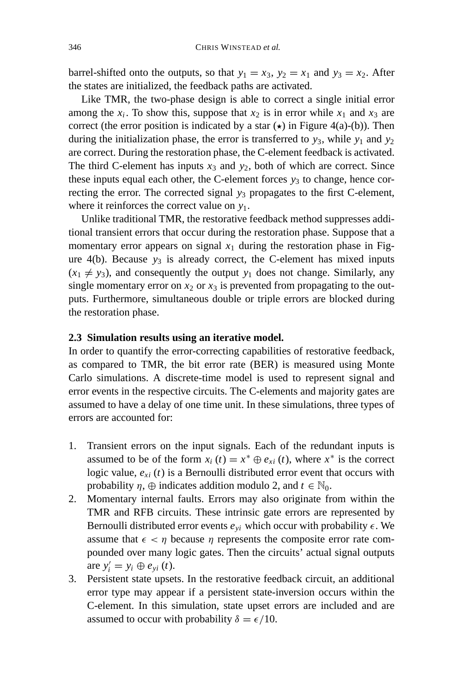barrel-shifted onto the outputs, so that  $y_1 = x_3$ ,  $y_2 = x_1$  and  $y_3 = x_2$ . After the states are initialized, the feedback paths are activated.

Like TMR, the two-phase design is able to correct a single initial error among the  $x_i$ . To show this, suppose that  $x_2$  is in error while  $x_1$  and  $x_3$  are correct (the error position is indicated by a star  $(\star)$  in Figure 4(a)-(b)). Then during the initialization phase, the error is transferred to  $y_3$ , while  $y_1$  and  $y_2$ are correct. During the restoration phase, the C-element feedback is activated. The third C-element has inputs  $x_3$  and  $y_2$ , both of which are correct. Since these inputs equal each other, the C-element forces  $y_3$  to change, hence correcting the error. The corrected signal  $y_3$  propagates to the first C-element, where it reinforces the correct value on *y*1.

Unlike traditional TMR, the restorative feedback method suppresses additional transient errors that occur during the restoration phase. Suppose that a momentary error appears on signal  $x_1$  during the restoration phase in Figure  $4(b)$ . Because  $y_3$  is already correct, the C-element has mixed inputs  $(x_1 \neq y_3)$ , and consequently the output  $y_1$  does not change. Similarly, any single momentary error on  $x_2$  or  $x_3$  is prevented from propagating to the outputs. Furthermore, simultaneous double or triple errors are blocked during the restoration phase.

## **2.3 Simulation results using an iterative model.**

In order to quantify the error-correcting capabilities of restorative feedback, as compared to TMR, the bit error rate (BER) is measured using Monte Carlo simulations. A discrete-time model is used to represent signal and error events in the respective circuits. The C-elements and majority gates are assumed to have a delay of one time unit. In these simulations, three types of errors are accounted for:

- 1. Transient errors on the input signals. Each of the redundant inputs is assumed to be of the form  $x_i(t) = x^* \oplus e_{xi}(t)$ , where  $x^*$  is the correct logic value,  $e_{xi}$  (*t*) is a Bernoulli distributed error event that occurs with probability  $\eta$ ,  $\oplus$  indicates addition modulo 2, and  $t \in \mathbb{N}_0$ .
- 2. Momentary internal faults. Errors may also originate from within the TMR and RFB circuits. These intrinsic gate errors are represented by Bernoulli distributed error events  $e_{vi}$  which occur with probability  $\epsilon$ . We assume that  $\epsilon < \eta$  because  $\eta$  represents the composite error rate compounded over many logic gates. Then the circuits' actual signal outputs are  $y'_{i} = y_{i} \oplus e_{yi}(t)$ .
- 3. Persistent state upsets. In the restorative feedback circuit, an additional error type may appear if a persistent state-inversion occurs within the C-element. In this simulation, state upset errors are included and are assumed to occur with probability  $\delta = \epsilon/10$ .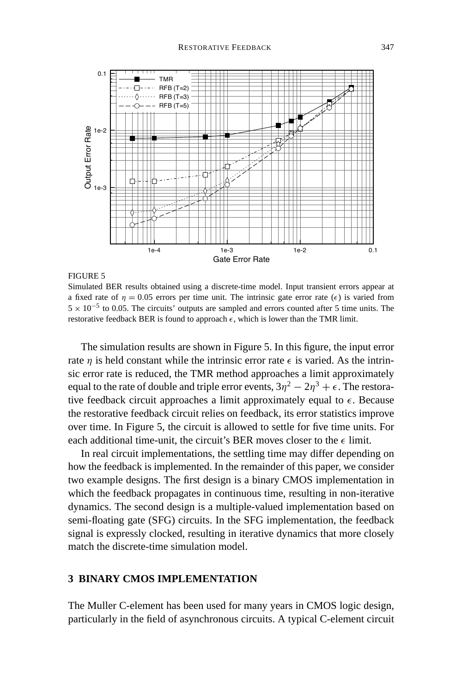

Simulated BER results obtained using a discrete-time model. Input transient errors appear at a fixed rate of  $\eta = 0.05$  errors per time unit. The intrinsic gate error rate  $(\epsilon)$  is varied from  $5 \times 10^{-5}$  to 0.05. The circuits' outputs are sampled and errors counted after 5 time units. The restorative feedback BER is found to approach  $\epsilon$ , which is lower than the TMR limit.

The simulation results are shown in Figure 5. In this figure, the input error rate  $\eta$  is held constant while the intrinsic error rate  $\epsilon$  is varied. As the intrinsic error rate is reduced, the TMR method approaches a limit approximately equal to the rate of double and triple error events,  $3\eta^2 - 2\eta^3 + \epsilon$ . The restorative feedback circuit approaches a limit approximately equal to  $\epsilon$ . Because the restorative feedback circuit relies on feedback, its error statistics improve over time. In Figure 5, the circuit is allowed to settle for five time units. For each additional time-unit, the circuit's BER moves closer to the  $\epsilon$  limit.

In real circuit implementations, the settling time may differ depending on how the feedback is implemented. In the remainder of this paper, we consider two example designs. The first design is a binary CMOS implementation in which the feedback propagates in continuous time, resulting in non-iterative dynamics. The second design is a multiple-valued implementation based on semi-floating gate (SFG) circuits. In the SFG implementation, the feedback signal is expressly clocked, resulting in iterative dynamics that more closely match the discrete-time simulation model.

## **3 BINARY CMOS IMPLEMENTATION**

The Muller C-element has been used for many years in CMOS logic design, particularly in the field of asynchronous circuits. A typical C-element circuit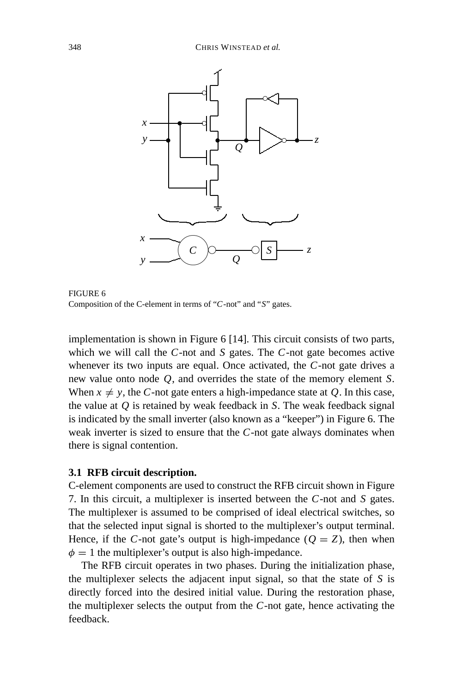

FIGURE 6 Composition of the C-element in terms of "*C*-not" and "*S*" gates.

implementation is shown in Figure 6 [14]. This circuit consists of two parts, which we will call the *C*-not and *S* gates. The *C*-not gate becomes active whenever its two inputs are equal. Once activated, the *C*-not gate drives a new value onto node *Q*, and overrides the state of the memory element *S*. When  $x \neq y$ , the *C*-not gate enters a high-impedance state at *Q*. In this case, the value at *Q* is retained by weak feedback in *S*. The weak feedback signal is indicated by the small inverter (also known as a "keeper") in Figure 6. The weak inverter is sized to ensure that the *C*-not gate always dominates when there is signal contention.

## **3.1 RFB circuit description.**

C-element components are used to construct the RFB circuit shown in Figure 7. In this circuit, a multiplexer is inserted between the *C*-not and *S* gates. The multiplexer is assumed to be comprised of ideal electrical switches, so that the selected input signal is shorted to the multiplexer's output terminal. Hence, if the *C*-not gate's output is high-impedance ( $Q = Z$ ), then when  $\phi = 1$  the multiplexer's output is also high-impedance.

The RFB circuit operates in two phases. During the initialization phase, the multiplexer selects the adjacent input signal, so that the state of *S* is directly forced into the desired initial value. During the restoration phase, the multiplexer selects the output from the *C*-not gate, hence activating the feedback.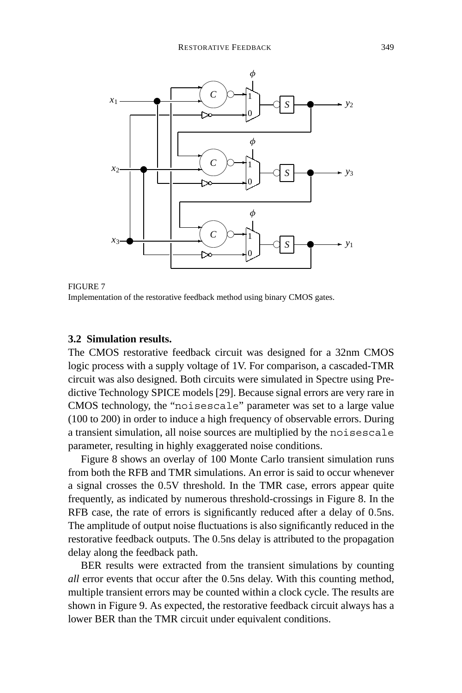

FIGURE 7 Implementation of the restorative feedback method using binary CMOS gates.

## **3.2 Simulation results.**

The CMOS restorative feedback circuit was designed for a 32nm CMOS logic process with a supply voltage of 1V. For comparison, a cascaded-TMR circuit was also designed. Both circuits were simulated in Spectre using Predictive Technology SPICE models [29]. Because signal errors are very rare in CMOS technology, the "noisescale" parameter was set to a large value (100 to 200) in order to induce a high frequency of observable errors. During a transient simulation, all noise sources are multiplied by the noisescale parameter, resulting in highly exaggerated noise conditions.

Figure 8 shows an overlay of 100 Monte Carlo transient simulation runs from both the RFB and TMR simulations. An error is said to occur whenever a signal crosses the 0.5V threshold. In the TMR case, errors appear quite frequently, as indicated by numerous threshold-crossings in Figure 8. In the RFB case, the rate of errors is significantly reduced after a delay of 0.5ns. The amplitude of output noise fluctuations is also significantly reduced in the restorative feedback outputs. The 0.5ns delay is attributed to the propagation delay along the feedback path.

BER results were extracted from the transient simulations by counting *all* error events that occur after the 0.5ns delay. With this counting method, multiple transient errors may be counted within a clock cycle. The results are shown in Figure 9. As expected, the restorative feedback circuit always has a lower BER than the TMR circuit under equivalent conditions.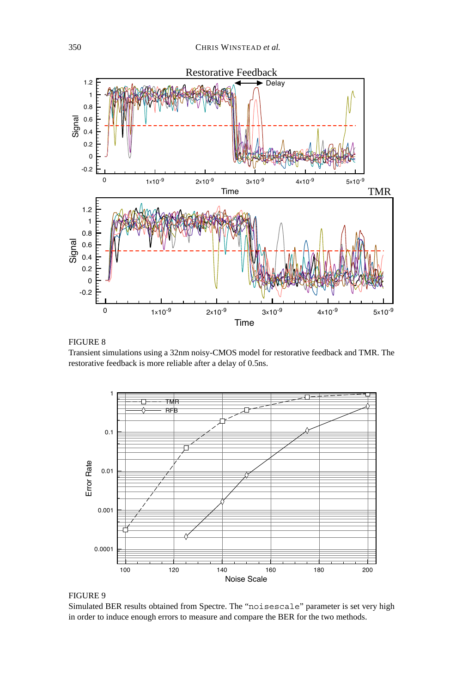

FIGURE 8

Transient simulations using a 32nm noisy-CMOS model for restorative feedback and TMR. The restorative feedback is more reliable after a delay of 0.5ns.





Simulated BER results obtained from Spectre. The "noisescale" parameter is set very high in order to induce enough errors to measure and compare the BER for the two methods.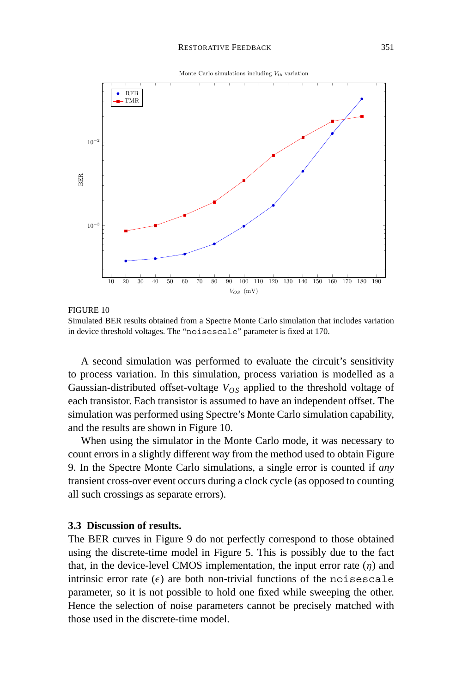



FIGURE 10 Simulated BER results obtained from a Spectre Monte Carlo simulation that includes variation in device threshold voltages. The "noisescale" parameter is fixed at 170.

A second simulation was performed to evaluate the circuit's sensitivity to process variation. In this simulation, process variation is modelled as a Gaussian-distributed offset-voltage  $V_{OS}$  applied to the threshold voltage of each transistor. Each transistor is assumed to have an independent offset. The simulation was performed using Spectre's Monte Carlo simulation capability, and the results are shown in Figure 10.

When using the simulator in the Monte Carlo mode, it was necessary to count errors in a slightly different way from the method used to obtain Figure 9. In the Spectre Monte Carlo simulations, a single error is counted if *any* transient cross-over event occurs during a clock cycle (as opposed to counting all such crossings as separate errors).

#### **3.3 Discussion of results.**

The BER curves in Figure 9 do not perfectly correspond to those obtained using the discrete-time model in Figure 5. This is possibly due to the fact that, in the device-level CMOS implementation, the input error rate  $(\eta)$  and intrinsic error rate  $(\epsilon)$  are both non-trivial functions of the noisescale parameter, so it is not possible to hold one fixed while sweeping the other. Hence the selection of noise parameters cannot be precisely matched with those used in the discrete-time model.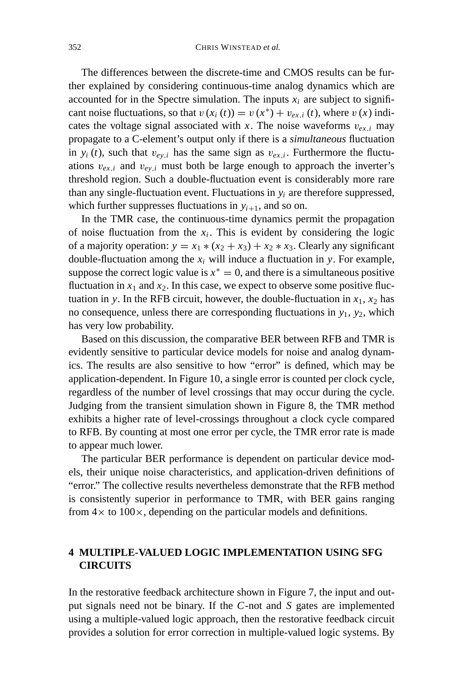The differences between the discrete-time and CMOS results can be further explained by considering continuous-time analog dynamics which are accounted for in the Spectre simulation. The inputs  $x_i$  are subject to significant noise fluctuations, so that  $v(x_i(t)) = v(x^*) + v_{ex,i}(t)$ , where  $v(x)$  indicates the voltage signal associated with *x*. The noise waveforms  $v_{ex,i}$  may propagate to a C-element's output only if there is a *simultaneous* fluctuation in  $y_i(t)$ , such that  $v_{ev,i}$  has the same sign as  $v_{ex,i}$ . Furthermore the fluctuations  $v_{ex,i}$  and  $v_{ey,i}$  must both be large enough to approach the inverter's threshold region. Such a double-fluctuation event is considerably more rare than any single-fluctuation event. Fluctuations in  $y_i$  are therefore suppressed, which further suppresses fluctuations in  $y_{i+1}$ , and so on.

In the TMR case, the continuous-time dynamics permit the propagation of noise fluctuation from the  $x_i$ . This is evident by considering the logic of a majority operation:  $y = x_1 * (x_2 + x_3) + x_2 * x_3$ . Clearly any significant double-fluctuation among the  $x_i$  will induce a fluctuation in *y*. For example, suppose the correct logic value is  $x^* = 0$ , and there is a simultaneous positive fluctuation in  $x_1$  and  $x_2$ . In this case, we expect to observe some positive fluctuation in *y*. In the RFB circuit, however, the double-fluctuation in  $x_1$ ,  $x_2$  has no consequence, unless there are corresponding fluctuations in *y*1, *y*2, which has very low probability.

Based on this discussion, the comparative BER between RFB and TMR is evidently sensitive to particular device models for noise and analog dynamics. The results are also sensitive to how "error" is defined, which may be application-dependent. In Figure 10, a single error is counted per clock cycle, regardless of the number of level crossings that may occur during the cycle. Judging from the transient simulation shown in Figure 8, the TMR method exhibits a higher rate of level-crossings throughout a clock cycle compared to RFB. By counting at most one error per cycle, the TMR error rate is made to appear much lower.

The particular BER performance is dependent on particular device models, their unique noise characteristics, and application-driven definitions of "error." The collective results nevertheless demonstrate that the RFB method is consistently superior in performance to TMR, with BER gains ranging from  $4 \times$  to  $100 \times$ , depending on the particular models and definitions.

## **4 MULTIPLE-VALUED LOGIC IMPLEMENTATION USING SFG CIRCUITS**

In the restorative feedback architecture shown in Figure 7, the input and output signals need not be binary. If the *C*-not and *S* gates are implemented using a multiple-valued logic approach, then the restorative feedback circuit provides a solution for error correction in multiple-valued logic systems. By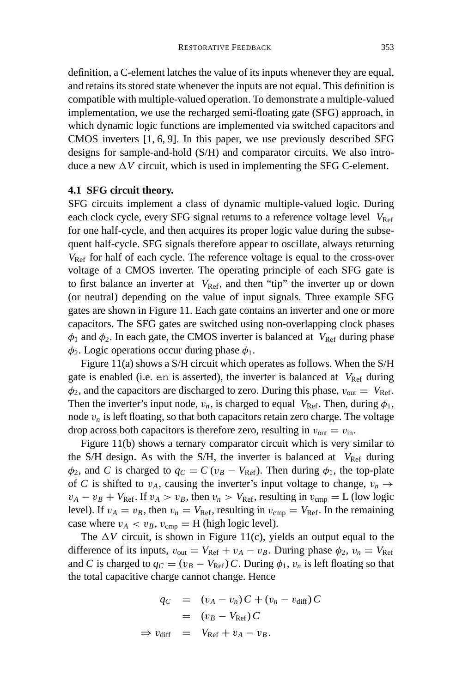definition, a C-element latches the value of its inputs whenever they are equal, and retains its stored state whenever the inputs are not equal. This definition is compatible with multiple-valued operation. To demonstrate a multiple-valued implementation, we use the recharged semi-floating gate (SFG) approach, in which dynamic logic functions are implemented via switched capacitors and CMOS inverters [1, 6, 9]. In this paper, we use previously described SFG designs for sample-and-hold (S/H) and comparator circuits. We also introduce a new  $\Delta V$  circuit, which is used in implementing the SFG C-element.

#### **4.1 SFG circuit theory.**

SFG circuits implement a class of dynamic multiple-valued logic. During each clock cycle, every SFG signal returns to a reference voltage level  $V_{\text{Ref}}$ for one half-cycle, and then acquires its proper logic value during the subsequent half-cycle. SFG signals therefore appear to oscillate, always returning  $V_{\text{Ref}}$  for half of each cycle. The reference voltage is equal to the cross-over voltage of a CMOS inverter. The operating principle of each SFG gate is to first balance an inverter at  $V_{\text{Ref}}$ , and then "tip" the inverter up or down (or neutral) depending on the value of input signals. Three example SFG gates are shown in Figure 11. Each gate contains an inverter and one or more capacitors. The SFG gates are switched using non-overlapping clock phases  $\phi_1$  and  $\phi_2$ . In each gate, the CMOS inverter is balanced at *V*<sub>Ref</sub> during phase  $\phi_2$ . Logic operations occur during phase  $\phi_1$ .

Figure 11(a) shows a S/H circuit which operates as follows. When the S/H gate is enabled (i.e. en is asserted), the inverter is balanced at  $V_{\text{Ref}}$  during  $\phi_2$ , and the capacitors are discharged to zero. During this phase,  $v_{\text{out}} = V_{\text{Ref}}$ . Then the inverter's input node,  $v_n$ , is charged to equal  $V_{\text{Ref}}$ . Then, during  $\phi_1$ , node  $v_n$  is left floating, so that both capacitors retain zero charge. The voltage drop across both capacitors is therefore zero, resulting in  $v_{\text{out}} = v_{\text{in}}$ .

Figure 11(b) shows a ternary comparator circuit which is very similar to the S/H design. As with the S/H, the inverter is balanced at  $V_{\text{Ref}}$  during  $\phi_2$ , and *C* is charged to  $q_C = C(v_B - V_{\text{Ref}})$ . Then during  $\phi_1$ , the top-plate of *C* is shifted to  $v_A$ , causing the inverter's input voltage to change,  $v_n \rightarrow$  $v_A - v_B + V_{\text{Ref}}$ . If  $v_A > v_B$ , then  $v_n > V_{\text{Ref}}$ , resulting in  $v_{\text{cmp}} = L$  (low logic level). If  $v_A = v_B$ , then  $v_n = V_{\text{Ref}}$ , resulting in  $v_{\text{cmn}} = V_{\text{Ref}}$ . In the remaining case where  $v_A < v_B$ ,  $v_{\text{cmp}} = H$  (high logic level).

The  $\Delta V$  circuit, is shown in Figure 11(c), yields an output equal to the difference of its inputs,  $v_{\text{out}} = V_{\text{Ref}} + v_A - v_B$ . During phase  $\phi_2$ ,  $v_n = V_{\text{Ref}}$ and *C* is charged to  $q_C = (v_B - V_{Ref}) C$ . During  $\phi_1, v_n$  is left floating so that the total capacitive charge cannot change. Hence

$$
q_C = (v_A - v_n)C + (v_n - v_{\text{diff}})C
$$
  
=  $(v_B - V_{\text{Ref}})C$   
 $\Rightarrow v_{\text{diff}} = V_{\text{Ref}} + v_A - v_B.$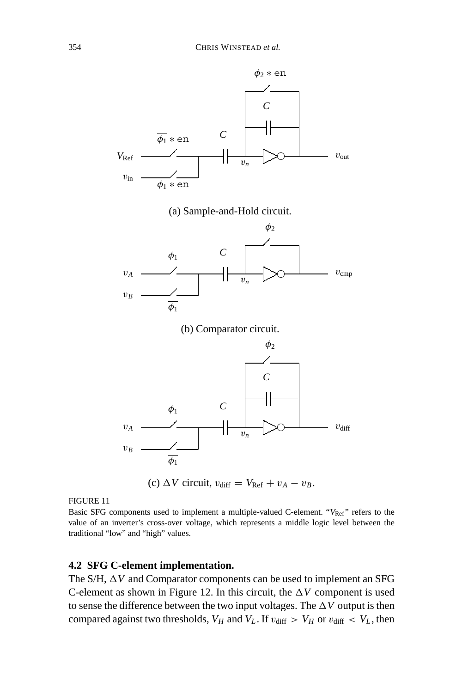



Basic SFG components used to implement a multiple-valued C-element. "V<sub>Ref</sub>" refers to the value of an inverter's cross-over voltage, which represents a middle logic level between the traditional "low" and "high" values.

#### **4.2 SFG C-element implementation.**

The S/H,  $\Delta V$  and Comparator components can be used to implement an SFG C-element as shown in Figure 12. In this circuit, the  $\Delta V$  component is used to sense the difference between the two input voltages. The  $\Delta V$  output is then compared against two thresholds,  $V_H$  and  $V_L$ . If  $v_{\text{diff}} > V_H$  or  $v_{\text{diff}} < V_L$ , then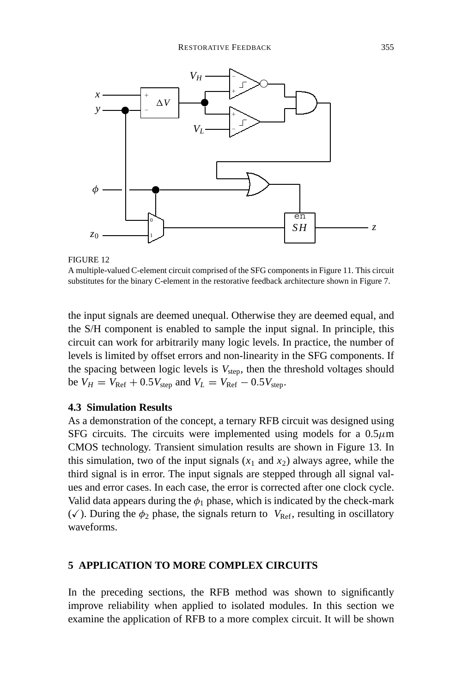

A multiple-valued C-element circuit comprised of the SFG components in Figure 11. This circuit substitutes for the binary C-element in the restorative feedback architecture shown in Figure 7.

the input signals are deemed unequal. Otherwise they are deemed equal, and the S/H component is enabled to sample the input signal. In principle, this circuit can work for arbitrarily many logic levels. In practice, the number of levels is limited by offset errors and non-linearity in the SFG components. If the spacing between logic levels is  $V_{step}$ , then the threshold voltages should  $b$ e  $V_H = V_{\text{Ref}} + 0.5V_{\text{step}}$  and  $V_L = V_{\text{Ref}} - 0.5V_{\text{step}}$ .

## **4.3 Simulation Results**

As a demonstration of the concept, a ternary RFB circuit was designed using SFG circuits. The circuits were implemented using models for a  $0.5\mu$ m CMOS technology. Transient simulation results are shown in Figure 13. In this simulation, two of the input signals  $(x_1$  and  $x_2)$  always agree, while the third signal is in error. The input signals are stepped through all signal values and error cases. In each case, the error is corrected after one clock cycle. Valid data appears during the  $\phi_1$  phase, which is indicated by the check-mark  $(\checkmark)$ . During the  $\phi_2$  phase, the signals return to  $V_{\text{Ref}}$ , resulting in oscillatory waveforms.

#### **5 APPLICATION TO MORE COMPLEX CIRCUITS**

In the preceding sections, the RFB method was shown to significantly improve reliability when applied to isolated modules. In this section we examine the application of RFB to a more complex circuit. It will be shown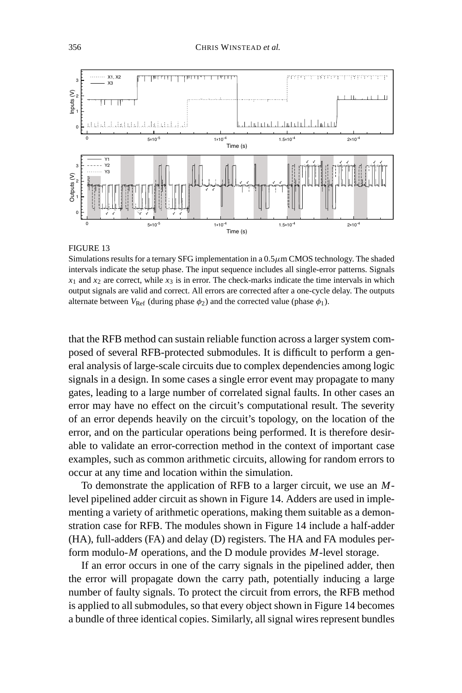

Simulations results for a ternary SFG implementation in a  $0.5\mu$ m CMOS technology. The shaded intervals indicate the setup phase. The input sequence includes all single-error patterns. Signals  $x_1$  and  $x_2$  are correct, while  $x_3$  is in error. The check-marks indicate the time intervals in which output signals are valid and correct. All errors are corrected after a one-cycle delay. The outputs alternate between  $V_{\text{Ref}}$  (during phase  $\phi_2$ ) and the corrected value (phase  $\phi_1$ ).

that the RFB method can sustain reliable function across a larger system composed of several RFB-protected submodules. It is difficult to perform a general analysis of large-scale circuits due to complex dependencies among logic signals in a design. In some cases a single error event may propagate to many gates, leading to a large number of correlated signal faults. In other cases an error may have no effect on the circuit's computational result. The severity of an error depends heavily on the circuit's topology, on the location of the error, and on the particular operations being performed. It is therefore desirable to validate an error-correction method in the context of important case examples, such as common arithmetic circuits, allowing for random errors to occur at any time and location within the simulation.

To demonstrate the application of RFB to a larger circuit, we use an *M*level pipelined adder circuit as shown in Figure 14. Adders are used in implementing a variety of arithmetic operations, making them suitable as a demonstration case for RFB. The modules shown in Figure 14 include a half-adder (HA), full-adders (FA) and delay (D) registers. The HA and FA modules perform modulo-*M* operations, and the D module provides *M*-level storage.

If an error occurs in one of the carry signals in the pipelined adder, then the error will propagate down the carry path, potentially inducing a large number of faulty signals. To protect the circuit from errors, the RFB method is applied to all submodules, so that every object shown in Figure 14 becomes a bundle of three identical copies. Similarly, all signal wires represent bundles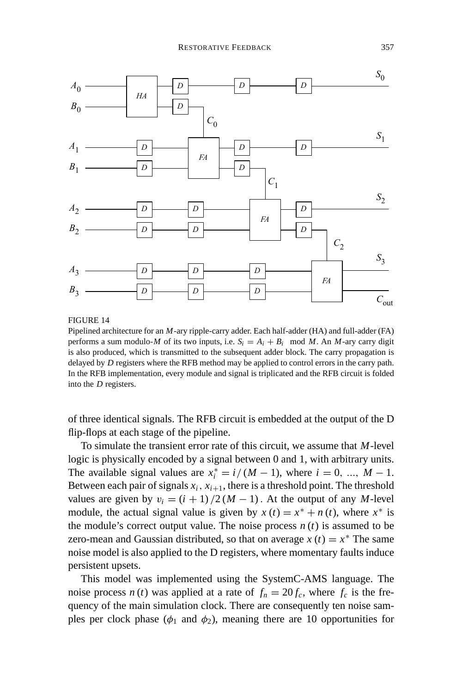

Pipelined architecture for an *M*-ary ripple-carry adder. Each half-adder (HA) and full-adder (FA) performs a sum modulo-*M* of its two inputs, i.e.  $S_i = A_i + B_i \mod M$ . An *M*-ary carry digit is also produced, which is transmitted to the subsequent adder block. The carry propagation is delayed by *D* registers where the RFB method may be applied to control errors in the carry path. In the RFB implementation, every module and signal is triplicated and the RFB circuit is folded into the *D* registers.

of three identical signals. The RFB circuit is embedded at the output of the D flip-flops at each stage of the pipeline.

To simulate the transient error rate of this circuit, we assume that *M*-level logic is physically encoded by a signal between 0 and 1, with arbitrary units. The available signal values are  $x_i^* = i/(M-1)$ , where  $i = 0, ..., M-1$ . Between each pair of signals  $x_i$ ,  $x_{i+1}$ , there is a threshold point. The threshold values are given by  $v_i = (i + 1)/2(M - 1)$ . At the output of any *M*-level module, the actual signal value is given by  $x(t) = x^* + n(t)$ , where  $x^*$  is the module's correct output value. The noise process  $n(t)$  is assumed to be zero-mean and Gaussian distributed, so that on average  $x(t) = x^*$  The same noise model is also applied to the D registers, where momentary faults induce persistent upsets.

This model was implemented using the SystemC-AMS language. The noise process *n* (*t*) was applied at a rate of  $f_n = 20 f_c$ , where  $f_c$  is the frequency of the main simulation clock. There are consequently ten noise samples per clock phase ( $\phi_1$  and  $\phi_2$ ), meaning there are 10 opportunities for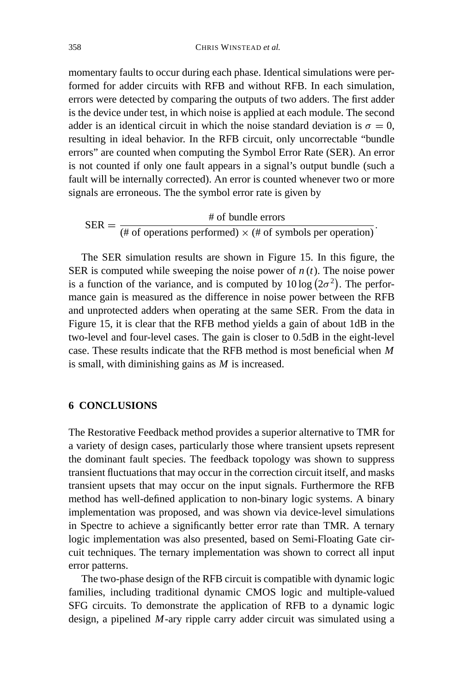momentary faults to occur during each phase. Identical simulations were performed for adder circuits with RFB and without RFB. In each simulation, errors were detected by comparing the outputs of two adders. The first adder is the device under test, in which noise is applied at each module. The second adder is an identical circuit in which the noise standard deviation is  $\sigma = 0$ , resulting in ideal behavior. In the RFB circuit, only uncorrectable "bundle errors" are counted when computing the Symbol Error Rate (SER). An error is not counted if only one fault appears in a signal's output bundle (such a fault will be internally corrected). An error is counted whenever two or more signals are erroneous. The the symbol error rate is given by

SER =  $\frac{\text{# of bundle errors}}{(\text{# of operations performed}) \times (\text{# of symbols per operation})}$ .

The SER simulation results are shown in Figure 15. In this figure, the SER is computed while sweeping the noise power of  $n(t)$ . The noise power is a function of the variance, and is computed by  $10 \log (2\sigma^2)$ . The performance gain is measured as the difference in noise power between the RFB and unprotected adders when operating at the same SER. From the data in Figure 15, it is clear that the RFB method yields a gain of about 1dB in the two-level and four-level cases. The gain is closer to 0.5dB in the eight-level case. These results indicate that the RFB method is most beneficial when *M* is small, with diminishing gains as *M* is increased.

## **6 CONCLUSIONS**

The Restorative Feedback method provides a superior alternative to TMR for a variety of design cases, particularly those where transient upsets represent the dominant fault species. The feedback topology was shown to suppress transient fluctuations that may occur in the correction circuit itself, and masks transient upsets that may occur on the input signals. Furthermore the RFB method has well-defined application to non-binary logic systems. A binary implementation was proposed, and was shown via device-level simulations in Spectre to achieve a significantly better error rate than TMR. A ternary logic implementation was also presented, based on Semi-Floating Gate circuit techniques. The ternary implementation was shown to correct all input error patterns.

The two-phase design of the RFB circuit is compatible with dynamic logic families, including traditional dynamic CMOS logic and multiple-valued SFG circuits. To demonstrate the application of RFB to a dynamic logic design, a pipelined *M*-ary ripple carry adder circuit was simulated using a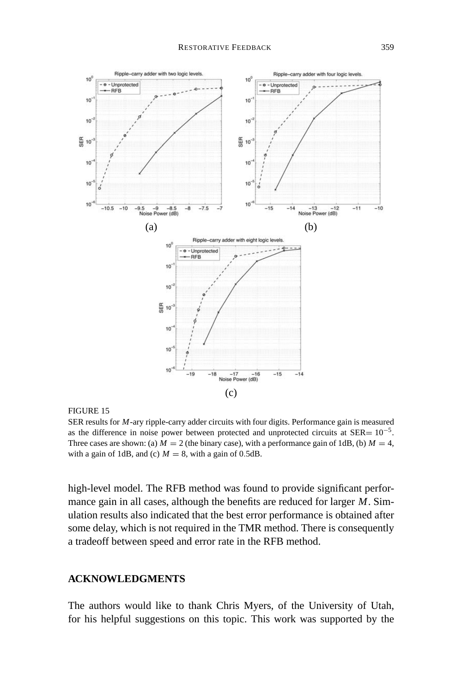

FIGURE 15

SER results for *M*-ary ripple-carry adder circuits with four digits. Performance gain is measured as the difference in noise power between protected and unprotected circuits at  $SER = 10^{-5}$ . Three cases are shown: (a)  $M = 2$  (the binary case), with a performance gain of 1dB, (b)  $M = 4$ , with a gain of 1dB, and (c)  $M = 8$ , with a gain of 0.5dB.

high-level model. The RFB method was found to provide significant performance gain in all cases, although the benefits are reduced for larger *M*. Simulation results also indicated that the best error performance is obtained after some delay, which is not required in the TMR method. There is consequently a tradeoff between speed and error rate in the RFB method.

## **ACKNOWLEDGMENTS**

The authors would like to thank Chris Myers, of the University of Utah, for his helpful suggestions on this topic. This work was supported by the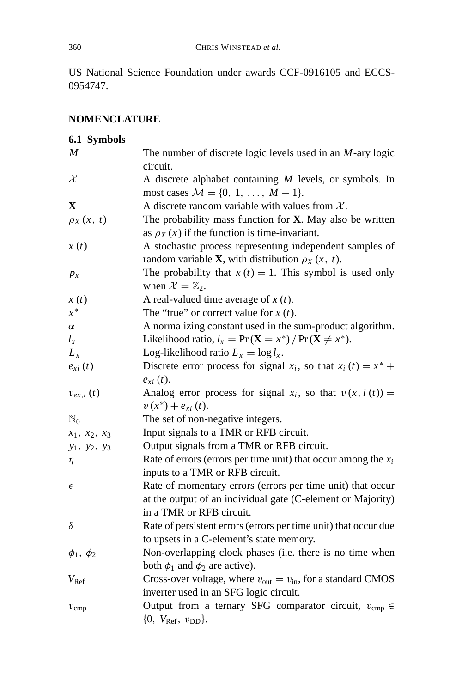US National Science Foundation under awards CCF-0916105 and ECCS-0954747.

# **NOMENCLATURE**

| 6.1 Symbols              |                                                                                  |
|--------------------------|----------------------------------------------------------------------------------|
| $\boldsymbol{M}$         | The number of discrete logic levels used in an $M$ -ary logic                    |
|                          | circuit.                                                                         |
| $\mathcal{X}$            | A discrete alphabet containing $M$ levels, or symbols. In                        |
|                          | most cases $M = \{0, 1, , M - 1\}.$                                              |
| X                        | A discrete random variable with values from $X$ .                                |
| $\rho_X(x, t)$           | The probability mass function for $X$ . May also be written                      |
|                          | as $\rho_X(x)$ if the function is time-invariant.                                |
| x(t)                     | A stochastic process representing independent samples of                         |
|                          | random variable <b>X</b> , with distribution $\rho_X(x, t)$ .                    |
| $p_x$                    | The probability that $x(t) = 1$ . This symbol is used only                       |
|                          | when $\mathcal{X} = \mathbb{Z}_2$ .                                              |
| x(t)                     | A real-valued time average of $x(t)$ .                                           |
| $x^*$                    | The "true" or correct value for $x(t)$ .                                         |
| $\alpha$                 | A normalizing constant used in the sum-product algorithm.                        |
| $l_x$                    | Likelihood ratio, $l_x = Pr(X = x^*) / Pr(X \neq x^*)$ .                         |
| $L_x$                    | Log-likelihood ratio $L_x = \log l_x$ .                                          |
| $e_{xi}(t)$              | Discrete error process for signal $x_i$ , so that $x_i(t) = x^* +$               |
|                          | $e_{xi}(t)$ .                                                                    |
| $v_{ex,i}\left(t\right)$ | Analog error process for signal $x_i$ , so that $v(x, i(t)) =$                   |
|                          | $v(x^*) + e_{xi}(t)$ .                                                           |
| $\mathbb{N}_0$           | The set of non-negative integers.                                                |
| $x_1, x_2, x_3$          | Input signals to a TMR or RFB circuit.                                           |
| $y_1, y_2, y_3$          | Output signals from a TMR or RFB circuit.                                        |
| η                        | Rate of errors (errors per time unit) that occur among the $x_i$                 |
|                          | inputs to a TMR or RFB circuit.                                                  |
| $\epsilon$               | Rate of momentary errors (errors per time unit) that occur                       |
|                          | at the output of an individual gate (C-element or Majority)                      |
|                          | in a TMR or RFB circuit.                                                         |
| δ                        | Rate of persistent errors (errors per time unit) that occur due                  |
|                          | to upsets in a C-element's state memory.                                         |
| $\phi_1, \phi_2$         | Non-overlapping clock phases (i.e. there is no time when                         |
|                          | both $\phi_1$ and $\phi_2$ are active).                                          |
| $V_{\text{Ref}}$         | Cross-over voltage, where $v_{\text{out}} = v_{\text{in}}$ , for a standard CMOS |
|                          | inverter used in an SFG logic circuit.                                           |
| $v_{\rm{cmp}}$           | Output from a ternary SFG comparator circuit, $v_{\rm{cmp}} \in$                 |
|                          | $\{0, V_{\text{Ref}}, v_{\text{DD}}\}.$                                          |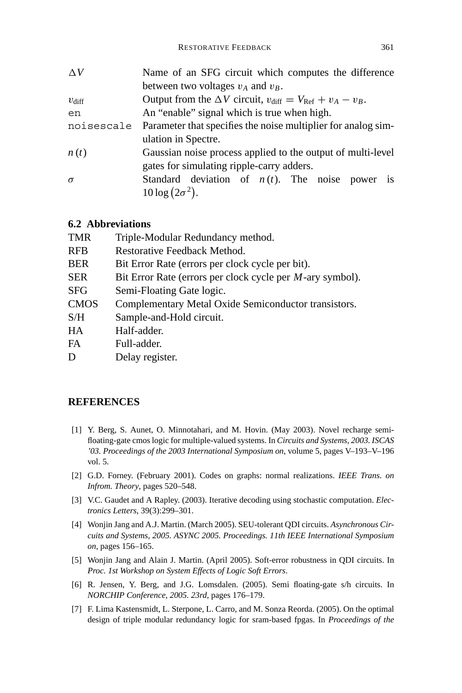| $\Delta V$        | Name of an SFG circuit which computes the difference                                 |
|-------------------|--------------------------------------------------------------------------------------|
|                   | between two voltages $v_A$ and $v_B$ .                                               |
| $v_{\text{diff}}$ | Output from the $\Delta V$ circuit, $v_{\text{diff}} = V_{\text{Ref}} + v_A - v_B$ . |
| en                | An "enable" signal which is true when high.                                          |
| noisescale        | Parameter that specifies the noise multiplier for analog sim-                        |
|                   | ulation in Spectre.                                                                  |
| n(t)              | Gaussian noise process applied to the output of multi-level                          |
|                   | gates for simulating ripple-carry adders.                                            |
| $\sigma$          | Standard deviation of $n(t)$ . The noise power is                                    |
|                   | $10\log(2\sigma^2)$ .                                                                |
|                   |                                                                                      |

## **6.2 Abbreviations**

| <b>TMR</b>  | Triple-Modular Redundancy method.                                 |
|-------------|-------------------------------------------------------------------|
| <b>RFB</b>  | Restorative Feedback Method.                                      |
| <b>BER</b>  | Bit Error Rate (errors per clock cycle per bit).                  |
| <b>SER</b>  | Bit Error Rate (errors per clock cycle per <i>M</i> -ary symbol). |
| <b>SFG</b>  | Semi-Floating Gate logic.                                         |
| <b>CMOS</b> | Complementary Metal Oxide Semiconductor transistors.              |
| S/H         | Sample-and-Hold circuit.                                          |
| <b>HA</b>   | Half-adder.                                                       |
| FA          | Full-adder.                                                       |
| D           | Delay register.                                                   |

## **REFERENCES**

- [1] Y. Berg, S. Aunet, O. Minnotahari, and M. Hovin. (May 2003). Novel recharge semifloating-gate cmos logic for multiple-valued systems. In *Circuits and Systems, 2003. ISCAS '03. Proceedings of the 2003 International Symposium on*, volume 5, pages V–193–V–196 vol. 5.
- [2] G.D. Forney. (February 2001). Codes on graphs: normal realizations. *IEEE Trans. on Infrom. Theory*, pages 520–548.
- [3] V.C. Gaudet and A Rapley. (2003). Iterative decoding using stochastic computation. *Electronics Letters*, 39(3):299–301.
- [4] Wonjin Jang and A.J. Martin. (March 2005). SEU-tolerant QDI circuits. *Asynchronous Circuits and Systems, 2005. ASYNC 2005. Proceedings. 11th IEEE International Symposium on*, pages 156–165.
- [5] Wonjin Jang and Alain J. Martin. (April 2005). Soft-error robustness in QDI circuits. In *Proc. 1st Workshop on System Effects of Logic Soft Errors*.
- [6] R. Jensen, Y. Berg, and J.G. Lomsdalen. (2005). Semi floating-gate s/h circuits. In *NORCHIP Conference, 2005. 23rd*, pages 176–179.
- [7] F. Lima Kastensmidt, L. Sterpone, L. Carro, and M. Sonza Reorda. (2005). On the optimal design of triple modular redundancy logic for sram-based fpgas. In *Proceedings of the*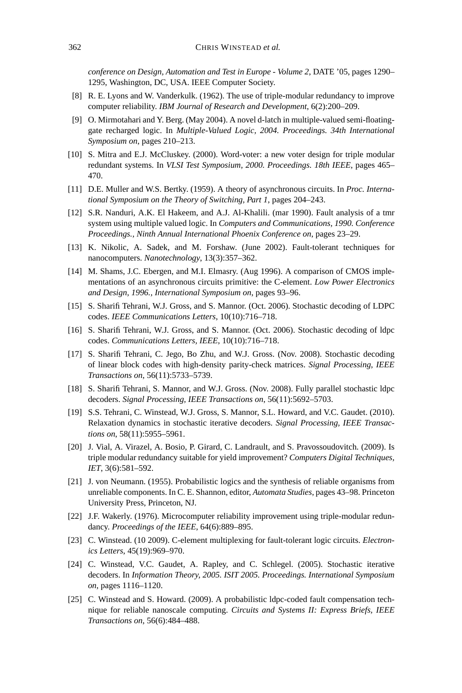*conference on Design, Automation and Test in Europe - Volume 2*, DATE '05, pages 1290– 1295, Washington, DC, USA. IEEE Computer Society.

- [8] R. E. Lyons and W. Vanderkulk. (1962). The use of triple-modular redundancy to improve computer reliability. *IBM Journal of Research and Development*, 6(2):200–209.
- [9] O. Mirmotahari and Y. Berg. (May 2004). A novel d-latch in multiple-valued semi-floatinggate recharged logic. In *Multiple-Valued Logic, 2004. Proceedings. 34th International Symposium on*, pages 210–213.
- [10] S. Mitra and E.J. McCluskey. (2000). Word-voter: a new voter design for triple modular redundant systems. In *VLSI Test Symposium, 2000. Proceedings. 18th IEEE*, pages 465– 470.
- [11] D.E. Muller and W.S. Bertky. (1959). A theory of asynchronous circuits. In *Proc. International Symposium on the Theory of Switching, Part 1*, pages 204–243.
- [12] S.R. Nanduri, A.K. El Hakeem, and A.J. Al-Khalili. (mar 1990). Fault analysis of a tmr system using multiple valued logic. In *Computers and Communications, 1990. Conference Proceedings., Ninth Annual International Phoenix Conference on*, pages 23–29.
- [13] K. Nikolic, A. Sadek, and M. Forshaw. (June 2002). Fault-tolerant techniques for nanocomputers. *Nanotechnology*, 13(3):357–362.
- [14] M. Shams, J.C. Ebergen, and M.I. Elmasry. (Aug 1996). A comparison of CMOS implementations of an asynchronous circuits primitive: the C-element. *Low Power Electronics and Design, 1996., International Symposium on*, pages 93–96.
- [15] S. Sharifi Tehrani, W.J. Gross, and S. Mannor. (Oct. 2006). Stochastic decoding of LDPC codes. *IEEE Communications Letters*, 10(10):716–718.
- [16] S. Sharifi Tehrani, W.J. Gross, and S. Mannor. (Oct. 2006). Stochastic decoding of ldpc codes. *Communications Letters, IEEE*, 10(10):716–718.
- [17] S. Sharifi Tehrani, C. Jego, Bo Zhu, and W.J. Gross. (Nov. 2008). Stochastic decoding of linear block codes with high-density parity-check matrices. *Signal Processing, IEEE Transactions on*, 56(11):5733–5739.
- [18] S. Sharifi Tehrani, S. Mannor, and W.J. Gross. (Nov. 2008). Fully parallel stochastic ldpc decoders. *Signal Processing, IEEE Transactions on*, 56(11):5692–5703.
- [19] S.S. Tehrani, C. Winstead, W.J. Gross, S. Mannor, S.L. Howard, and V.C. Gaudet. (2010). Relaxation dynamics in stochastic iterative decoders. *Signal Processing, IEEE Transactions on*, 58(11):5955–5961.
- [20] J. Vial, A. Virazel, A. Bosio, P. Girard, C. Landrault, and S. Pravossoudovitch. (2009). Is triple modular redundancy suitable for yield improvement? *Computers Digital Techniques, IET*, 3(6):581–592.
- [21] J. von Neumann. (1955). Probabilistic logics and the synthesis of reliable organisms from unreliable components. In C. E. Shannon, editor, *Automata Studies*, pages 43–98. Princeton University Press, Princeton, NJ.
- [22] J.F. Wakerly. (1976). Microcomputer reliability improvement using triple-modular redundancy. *Proceedings of the IEEE*, 64(6):889–895.
- [23] C. Winstead. (10 2009). C-element multiplexing for fault-tolerant logic circuits. *Electronics Letters*, 45(19):969–970.
- [24] C. Winstead, V.C. Gaudet, A. Rapley, and C. Schlegel. (2005). Stochastic iterative decoders. In *Information Theory, 2005. ISIT 2005. Proceedings. International Symposium on*, pages 1116–1120.
- [25] C. Winstead and S. Howard. (2009). A probabilistic ldpc-coded fault compensation technique for reliable nanoscale computing. *Circuits and Systems II: Express Briefs, IEEE Transactions on*, 56(6):484–488.